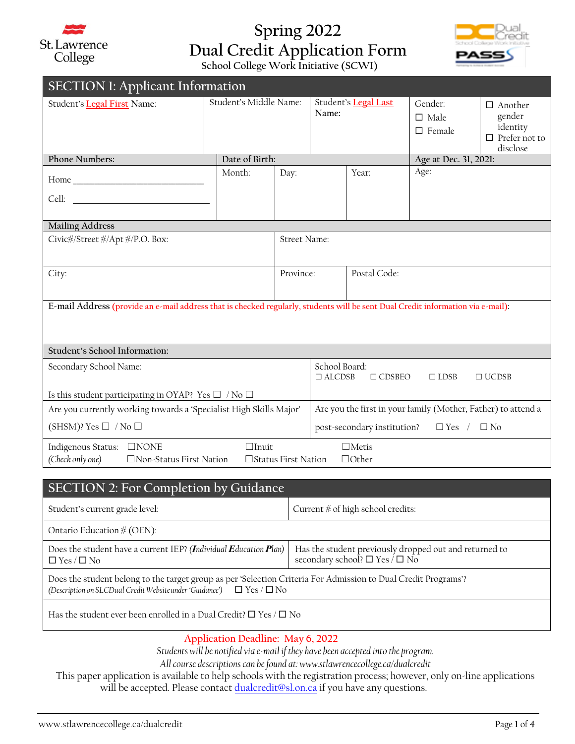

## **Spring 2022 Dual Credit Application Form**

**School College Work Initiative (SCWI)**

| <b>SECTION 1: Applicant Information</b>                                                                                                                      |                        |                |                                                                                |              |                                                     |                                                                          |  |  |
|--------------------------------------------------------------------------------------------------------------------------------------------------------------|------------------------|----------------|--------------------------------------------------------------------------------|--------------|-----------------------------------------------------|--------------------------------------------------------------------------|--|--|
| Student's Legal First Name:                                                                                                                                  | Student's Middle Name: |                | Student's Legal Last<br>Name:                                                  |              | Gender <sup>.</sup><br>$\Box$ Male<br>$\Box$ Female | $\Box$ Another<br>gender<br>identity<br>$\Box$ Prefer not to<br>disclose |  |  |
| <b>Phone Numbers:</b>                                                                                                                                        |                        | Date of Birth: |                                                                                |              | Age at Dec. 31, 2021:                               |                                                                          |  |  |
| Cell: <b>Example 2018</b>                                                                                                                                    | Month:                 | Day:           |                                                                                | Year:        | Age:                                                |                                                                          |  |  |
| <b>Mailing Address</b>                                                                                                                                       |                        |                |                                                                                |              |                                                     |                                                                          |  |  |
| Civic#/Street #/Apt #/P.O. Box:                                                                                                                              |                        |                | Street Name:                                                                   |              |                                                     |                                                                          |  |  |
| City:                                                                                                                                                        |                        | Province:      |                                                                                | Postal Code: |                                                     |                                                                          |  |  |
| E-mail Address (provide an e-mail address that is checked regularly, students will be sent Dual Credit information via e-mail):                              |                        |                |                                                                                |              |                                                     |                                                                          |  |  |
| Student's School Information:                                                                                                                                |                        |                |                                                                                |              |                                                     |                                                                          |  |  |
| Secondary School Name:                                                                                                                                       |                        |                | School Board:<br>$\Box$ ALCDSB<br>$\Box$ CDSBEO<br>$\Box$ LDSB<br>$\Box$ UCDSB |              |                                                     |                                                                          |  |  |
| Is this student participating in OYAP? Yes $\Box$ / No $\Box$                                                                                                |                        |                |                                                                                |              |                                                     |                                                                          |  |  |
| Are you currently working towards a 'Specialist High Skills Major'                                                                                           |                        |                | Are you the first in your family (Mother, Father) to attend a                  |              |                                                     |                                                                          |  |  |
| (SHSM)? Yes $\Box$ / No $\Box$                                                                                                                               |                        |                | post-secondary institution?<br>$\Box$ Yes / $\Box$ No                          |              |                                                     |                                                                          |  |  |
| $\Box$ Metis<br>Indigenous Status: □NONE<br>$\Box$ Inuit<br>(Check only one)<br>$\Box$ Other<br>$\Box$ Non-Status First Nation<br>$\Box$ Status First Nation |                        |                |                                                                                |              |                                                     |                                                                          |  |  |

| <b>SECTION 2: For Completion by Guidance</b>                                                                                                                                                      |                                                                                                          |  |  |  |  |
|---------------------------------------------------------------------------------------------------------------------------------------------------------------------------------------------------|----------------------------------------------------------------------------------------------------------|--|--|--|--|
| Student's current grade level:                                                                                                                                                                    | Current $#$ of high school credits:                                                                      |  |  |  |  |
| Ontario Education $\#$ (OEN):                                                                                                                                                                     |                                                                                                          |  |  |  |  |
| Does the student have a current IEP? (Individual Education Plan)<br>$\Box$ Yes / $\Box$ No                                                                                                        | Has the student previously dropped out and returned to<br>secondary school? $\square$ Yes / $\square$ No |  |  |  |  |
| Does the student belong to the target group as per 'Selection Criteria For Admission to Dual Credit Programs'?<br>(Description on SLCDual Credit Website under 'Guidance') $\Box$ Yes / $\Box$ No |                                                                                                          |  |  |  |  |
| Has the student ever been enrolled in a Dual Credit? $\square$ Yes / $\square$ No                                                                                                                 |                                                                                                          |  |  |  |  |

## **Application Deadline: May 6, 2022**

*Students will be notified via e-mail if they have been accepted into the program.*

*All course descriptions can be found at: www.stlawrencecollege.ca/dualcredit* 

This paper application is available to help schools with the registration process; however, only on-line applications will be accepted. Please contact [dualcredit@sl.on.ca](mailto:jhalligan@sl.on.ca) if you have any questions.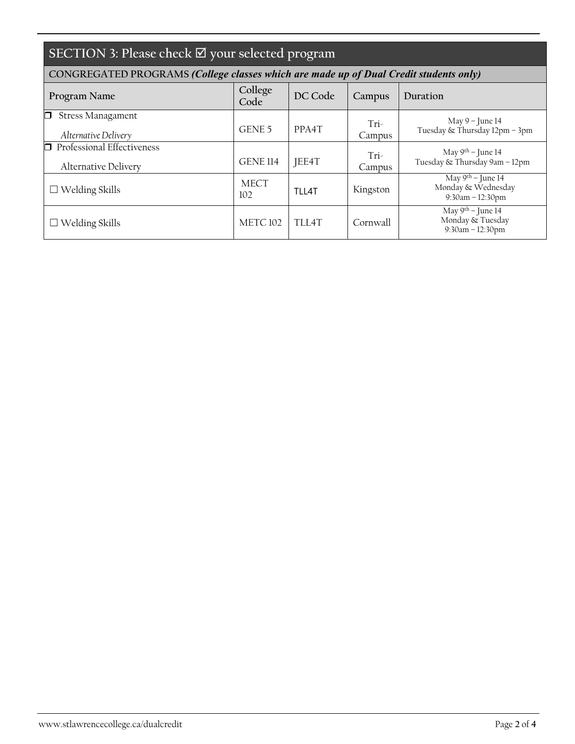| SECTION 3: Please check $\overline{\boxtimes}$ your selected program                  |                 |                    |                |                                                                 |  |  |  |  |
|---------------------------------------------------------------------------------------|-----------------|--------------------|----------------|-----------------------------------------------------------------|--|--|--|--|
| CONGREGATED PROGRAMS (College classes which are made up of Dual Credit students only) |                 |                    |                |                                                                 |  |  |  |  |
| Program Name                                                                          | College<br>Code | DC Code            | Campus         | Duration                                                        |  |  |  |  |
| <b>Stress Managament</b><br>n.<br>Alternative Delivery                                | GENE 5          | PPA <sub>4</sub> T | Tri-<br>Campus | May $9$ – June 14<br>Tuesday & Thursday 12pm - 3pm              |  |  |  |  |
| $\Box$ Professional Effectiveness<br>Alternative Delivery                             | <b>GENE 114</b> | JEE4T              | Tri-<br>Campus | May 9th – June 14<br>Tuesday & Thursday 9am - 12pm              |  |  |  |  |
| Welding Skills                                                                        | MECT<br>102     | $TI$   $4T$        | Kingston       | May $9th -$ June 14<br>Monday & Wednesday<br>$9:30am - 12:30pm$ |  |  |  |  |
| Welding Skills                                                                        | <b>METC 102</b> | TLL4T              | Cornwall       | May 9th – June 14<br>Monday & Tuesday<br>9:30am - 12:30pm       |  |  |  |  |